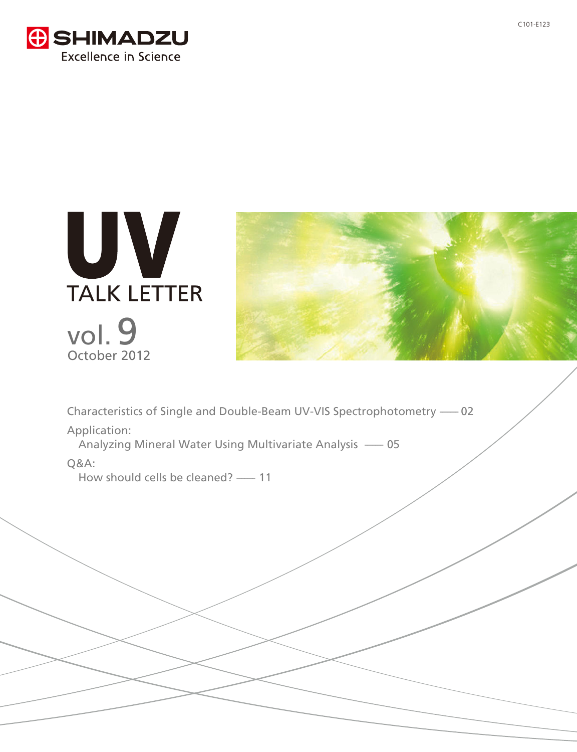





Characteristics of Single and Double-Beam UV-VIS Spectrophotometry -- 02

Application:

Analyzing Mineral Water Using Multivariate Analysis -- 05

# Q&A:

How should cells be cleaned? -----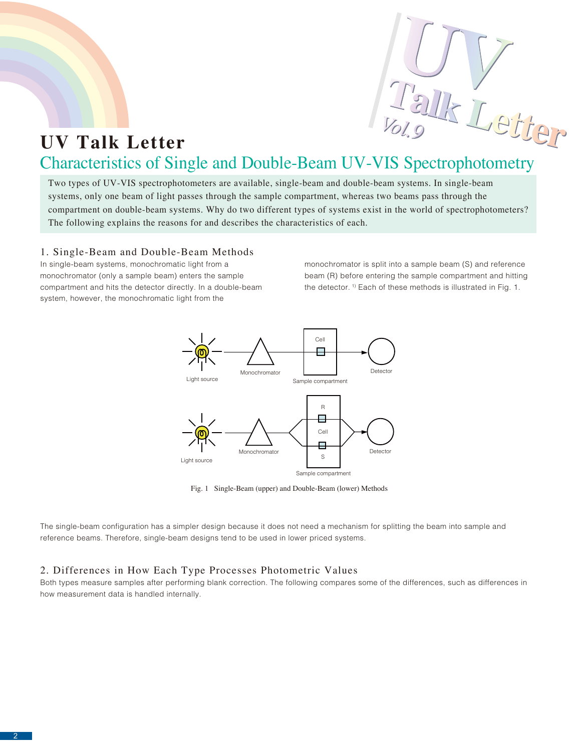

# **UV Talk Letter** Characteristics of Single and Double-Beam UV-VIS Spectrophotometry

Two types of UV-VIS spectrophotometers are available, single-beam and double-beam systems. In single-beam systems, only one beam of light passes through the sample compartment, whereas two beams pass through the compartment on double-beam systems. Why do two different types of systems exist in the world of spectrophotometers? The following explains the reasons for and describes the characteristics of each.

# 1. Single-Beam and Double-Beam Methods

In single-beam systems, monochromatic light from a monochromator (only a sample beam) enters the sample compartment and hits the detector directly. In a double-beam system, however, the monochromatic light from the

monochromator is split into a sample beam (S) and reference beam (R) before entering the sample compartment and hitting the detector.<sup>1)</sup> Each of these methods is illustrated in Fig. 1.



Fig. 1 Single-Beam (upper) and Double-Beam (lower) Methods

The single-beam configuration has a simpler design because it does not need a mechanism for splitting the beam into sample and reference beams. Therefore, single-beam designs tend to be used in lower priced systems.

# 2. Differences in How Each Type Processes Photometric Values

Both types measure samples after performing blank correction. The following compares some of the differences, such as differences in how measurement data is handled internally.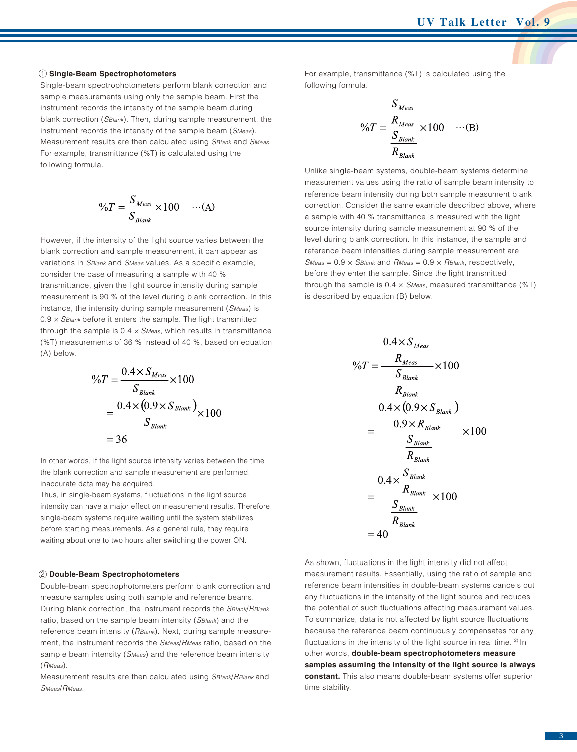#### **Single-Beam Spectrophotometers** 1

Single-beam spectrophotometers perform blank correction and sample measurements using only the sample beam. First the instrument records the intensity of the sample beam during blank correction (*SBlank*). Then, during sample measurement, the instrument records the intensity of the sample beam (*SMeas*). Measurement results are then calculated using *SBlank* and *SMeas*. For example, transmittance (%T) is calculated using the following formula.

$$
\%T = \frac{S_{Meas}}{S_{\text{Blank}}} \times 100 \qquad \cdots \text{(A)}
$$

However, if the intensity of the light source varies between the blank correction and sample measurement, it can appear as variations in *SBlank* and *SMeas* values. As a specific example, consider the case of measuring a sample with 40 % transmittance, given the light source intensity during sample measurement is 90 % of the level during blank correction. In this instance, the intensity during sample measurement (*SMeas*) is 0.9 × *SBlank* before it enters the sample. The light transmitted through the sample is 0.4 × *SMeas*, which results in transmittance (%T) measurements of 36 % instead of 40 %, based on equation (A) below.

$$
\%T = \frac{0.4 \times S_{Meas}}{S_{Blank}} \times 100
$$

$$
= \frac{0.4 \times (0.9 \times S_{Blank})}{S_{Blank}} \times 100
$$

$$
= 36
$$

In other words, if the light source intensity varies between the time the blank correction and sample measurement are performed, inaccurate data may be acquired.

Thus, in single-beam systems, fluctuations in the light source intensity can have a major effect on measurement results. Therefore, single-beam systems require waiting until the system stabilizes before starting measurements. As a general rule, they require waiting about one to two hours after switching the power ON.

#### **Double-Beam Spectrophotometers** 2

Double-beam spectrophotometers perform blank correction and measure samples using both sample and reference beams. During blank correction, the instrument records the *SBlank*/*RBlank* ratio, based on the sample beam intensity (*SBlank*) and the reference beam intensity (*RBlank*). Next, during sample measurement, the instrument records the *SMeas*/*RMeas* ratio, based on the sample beam intensity (*SMeas*) and the reference beam intensity (*RMeas*).

Measurement results are then calculated using *SBlank*/*RBlank* and *SMeas*/*RMeas.*

For example, transmittance (%T) is calculated using the following formula.

$$
\%T = \frac{\frac{S_{Meas}}{R_{\text{Heas}}}}{\frac{S_{\text{Blank}}}{R_{\text{Blank}}}} \times 100 \quad \cdots \text{(B)}
$$

Unlike single-beam systems, double-beam systems determine measurement values using the ratio of sample beam intensity to reference beam intensity during both sample measument blank correction. Consider the same example described above, where a sample with 40 % transmittance is measured with the light source intensity during sample measurement at 90 % of the level during blank correction. In this instance, the sample and reference beam intensities during sample measurement are *SMeas* = 0.9 × *SBlank* and *RMeas* = 0.9 × *RBlank*, respectively, before they enter the sample. Since the light transmitted through the sample is 0.4 × *SMeas*, measured transmittance (%T) is described by equation (B) below.

$$
\%T = \frac{0.4 \times S_{Meas}}{R_{Meas}} \times 100
$$
  

$$
\frac{S_{Blank}}{R_{Blank}}
$$
  

$$
= \frac{0.4 \times (0.9 \times S_{Blank})}{0.9 \times R_{Blank}} \times 100
$$
  

$$
= \frac{S_{Blank}}{R_{Blank}}
$$
  

$$
= \frac{0.4 \times \frac{S_{Blank}}{R_{Blank}}}{R_{Blank}} \times 100
$$
  

$$
= \frac{S_{Blank}}{R_{Blank}}
$$
  
= 40

As shown, fluctuations in the light intensity did not affect measurement results. Essentially, using the ratio of sample and reference beam intensities in double-beam systems cancels out any fluctuations in the intensity of the light source and reduces the potential of such fluctuations affecting measurement values. To summarize, data is not affected by light source fluctuations because the reference beam continuously compensates for any fluctuations in the intensity of the light source in real time. 2) In other words, **double-beam spectrophotometers measure samples assuming the intensity of the light source is always constant.** This also means double-beam systems offer superior time stability.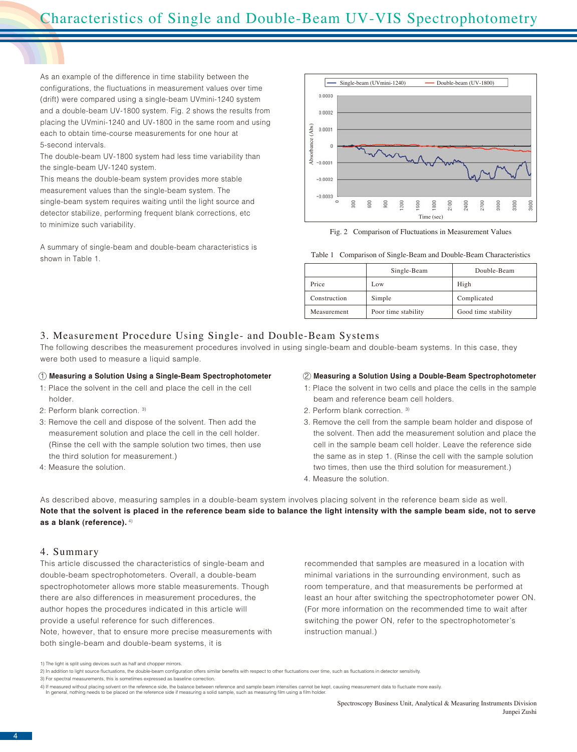As an example of the difference in time stability between the configurations, the fluctuations in measurement values over time (drift) were compared using a single-beam UVmini-1240 system and a double-beam UV-1800 system. Fig. 2 shows the results from placing the UVmini-1240 and UV-1800 in the same room and using each to obtain time-course measurements for one hour at 5-second intervals.

The double-beam UV-1800 system had less time variability than the single-beam UV-1240 system.

This means the double-beam system provides more stable measurement values than the single-beam system. The single-beam system requires waiting until the light source and detector stabilize, performing frequent blank corrections, etc to minimize such variability.

A summary of single-beam and double-beam characteristics is shown in Table 1.



Fig. 2 Comparison of Fluctuations in Measurement Values

Table 1 Comparison of Single-Beam and Double-Beam Characteristics

|              | Single-Beam<br>Double-Beam |                     |
|--------------|----------------------------|---------------------|
| Price        | Low                        | High                |
| Construction | Simple                     | Complicated         |
| Measurement  | Poor time stability        | Good time stability |

# 3. Measurement Procedure Using Single- and Double-Beam Systems

The following describes the measurement procedures involved in using single-beam and double-beam systems. In this case, they were both used to measure a liquid sample.

# **Measuring a Solution Using a Single-Beam Spectrophotometer**

- 1: Place the solvent in the cell and place the cell in the cell holder.
- 2: Perform blank correction. 3)
- 3: Remove the cell and dispose of the solvent. Then add the measurement solution and place the cell in the cell holder. (Rinse the cell with the sample solution two times, then use the third solution for measurement.)
- 4: Measure the solution.

#### 1 2 **Measuring a Solution Using a Double-Beam Spectrophotometer**

- 1: Place the solvent in two cells and place the cells in the sample beam and reference beam cell holders.
- 2. Perform blank correction. 3)
- 3. Remove the cell from the sample beam holder and dispose of the solvent. Then add the measurement solution and place the cell in the sample beam cell holder. Leave the reference side the same as in step 1. (Rinse the cell with the sample solution two times, then use the third solution for measurement.)
- 4. Measure the solution.

As described above, measuring samples in a double-beam system involves placing solvent in the reference beam side as well. **Note that the solvent is placed in the reference beam side to balance the light intensity with the sample beam side, not to serve as a blank (reference).** 4)

## 4. Summary

This article discussed the characteristics of single-beam and double-beam spectrophotometers. Overall, a double-beam spectrophotometer allows more stable measurements. Though there are also differences in measurement procedures, the author hopes the procedures indicated in this article will provide a useful reference for such differences. Note, however, that to ensure more precise measurements with both single-beam and double-beam systems, it is

recommended that samples are measured in a location with minimal variations in the surrounding environment, such as room temperature, and that measurements be performed at least an hour after switching the spectrophotometer power ON. (For more information on the recommended time to wait after switching the power ON, refer to the spectrophotometer's instruction manual.)

<sup>1)</sup> The light is split using devices such as half and chopper mirrors.

<sup>2)</sup> In addition to light source fluctuations, the double-beam configuration offers similar benefits with respect to other fluctuations over time, such as fluctuations in detector sensitivity 3) For spectral measurements, this is sometimes expressed as baseline correction.

<sup>4)</sup> If measured without placing solvent on the reference side, the balance between reference and sample beam intensities cannot be kept, causing measurement data to fluctuate more easily.<br>In general, nothing needs to be pla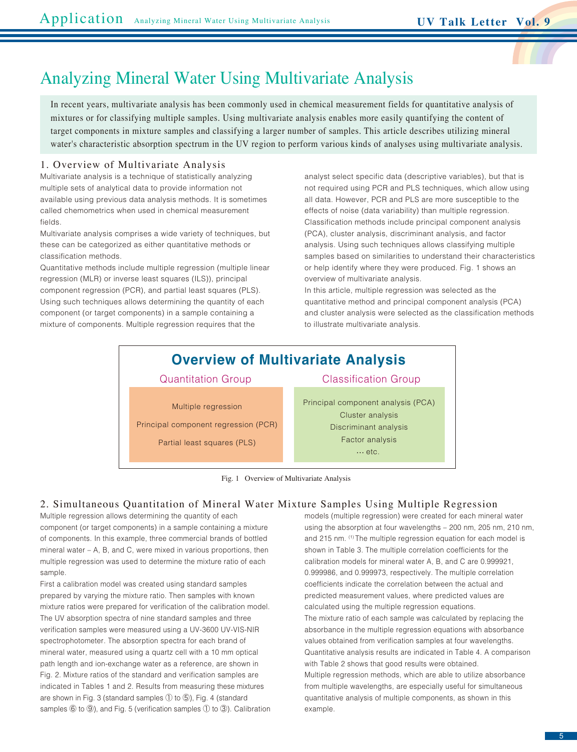

# Analyzing Mineral Water Using Multivariate Analysis

In recent years, multivariate analysis has been commonly used in chemical measurement fields for quantitative analysis of mixtures or for classifying multiple samples. Using multivariate analysis enables more easily quantifying the content of target components in mixture samples and classifying a larger number of samples. This article describes utilizing mineral water's characteristic absorption spectrum in the UV region to perform various kinds of analyses using multivariate analysis.

# 1. Overview of Multivariate Analysis

Multivariate analysis is a technique of statistically analyzing multiple sets of analytical data to provide information not available using previous data analysis methods. It is sometimes called chemometrics when used in chemical measurement fields.

Multivariate analysis comprises a wide variety of techniques, but these can be categorized as either quantitative methods or classification methods.

Quantitative methods include multiple regression (multiple linear regression (MLR) or inverse least squares (ILS)), principal component regression (PCR), and partial least squares (PLS). Using such techniques allows determining the quantity of each component (or target components) in a sample containing a mixture of components. Multiple regression requires that the

analyst select specific data (descriptive variables), but that is not required using PCR and PLS techniques, which allow using all data. However, PCR and PLS are more susceptible to the effects of noise (data variability) than multiple regression. Classification methods include principal component analysis (PCA), cluster analysis, discriminant analysis, and factor analysis. Using such techniques allows classifying multiple samples based on similarities to understand their characteristics or help identify where they were produced. Fig. 1 shows an overview of multivariate analysis.

In this article, multiple regression was selected as the quantitative method and principal component analysis (PCA) and cluster analysis were selected as the classification methods to illustrate multivariate analysis.

# **Overview of Multivariate Analysis**

Multiple regression Principal component regression (PCR)

Partial least squares (PLS)

Quantitation Group Classification Group

Principal component analysis (PCA) Cluster analysis Discriminant analysis Factor analysis  $\cdots$  etc.

Fig. 1 Overview of Multivariate Analysis

# 2. Simultaneous Quantitation of Mineral Water Mixture Samples Using Multiple Regression

Multiple regression allows determining the quantity of each component (or target components) in a sample containing a mixture of components. In this example, three commercial brands of bottled mineral water – A, B, and C, were mixed in various proportions, then multiple regression was used to determine the mixture ratio of each sample.

First a calibration model was created using standard samples prepared by varying the mixture ratio. Then samples with known mixture ratios were prepared for verification of the calibration model. The UV absorption spectra of nine standard samples and three verification samples were measured using a UV-3600 UV-VIS-NIR spectrophotometer. The absorption spectra for each brand of mineral water, measured using a quartz cell with a 10 mm optical path length and ion-exchange water as a reference, are shown in Fig. 2. Mixture ratios of the standard and verification samples are indicated in Tables 1 and 2. Results from measuring these mixtures are shown in Fig. 3 (standard samples ① to ⑤), Fig. 4 (standard samples ⑥ to ⑨), and Fig. 5 (verification samples ① to ③). Calibration models (multiple regression) were created for each mineral water using the absorption at four wavelengths – 200 nm, 205 nm, 210 nm, and 215 nm. (1) The multiple regression equation for each model is shown in Table 3. The multiple correlation coefficients for the calibration models for mineral water A, B, and C are 0.999921, 0.999986, and 0.999973, respectively. The multiple correlation coefficients indicate the correlation between the actual and predicted measurement values, where predicted values are calculated using the multiple regression equations. The mixture ratio of each sample was calculated by replacing the absorbance in the multiple regression equations with absorbance values obtained from verification samples at four wavelengths. Quantitative analysis results are indicated in Table 4. A comparison with Table 2 shows that good results were obtained. Multiple regression methods, which are able to utilize absorbance from multiple wavelengths, are especially useful for simultaneous quantitative analysis of multiple components, as shown in this example.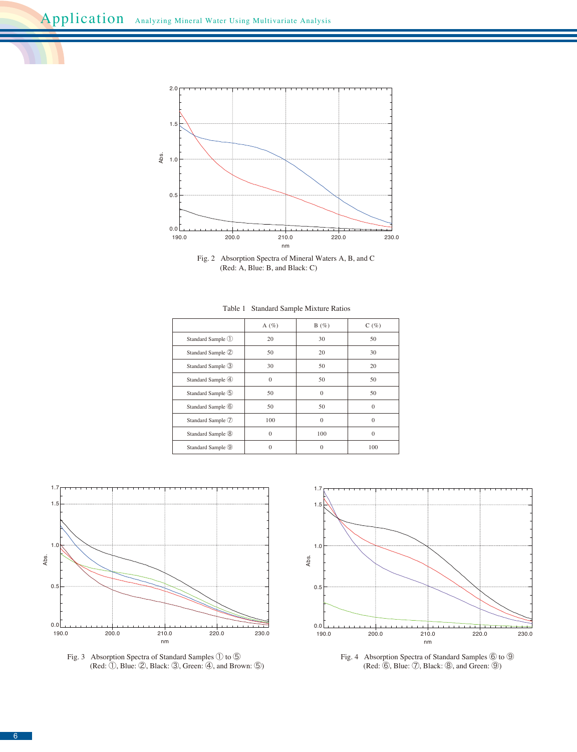

Fig. 2 Absorption Spectra of Mineral Waters A, B, and C (Red: A, Blue: B, and Black: C)

|                              | A $(\%)$ | B(%)     | C(%)     |
|------------------------------|----------|----------|----------|
| Standard Sample ①            | 20       | 30       | 50       |
| Standard Sample 2            | 50       | 20       | 30       |
| Standard Sample 3            | 30       | 50       | 20       |
| Standard Sample 4            | $\theta$ | 50       | 50       |
| Standard Sample 5            | 50       | $\Omega$ | 50       |
| Standard Sample 6            | 50       | 50       | $\Omega$ |
| Standard Sample 7            | 100      | $\Omega$ | $\Omega$ |
| Standard Sample <sup>®</sup> | $\Omega$ | 100      | $\Omega$ |
| Standard Sample 9            | 0        | $\Omega$ | 100      |

Table 1 Standard Sample Mixture Ratios







Fig. 4 Absorption Spectra of Standard Samples  $\circledS$  to  $\circledS$ (Red: ⑥, Blue: ⑦, Black: ⑧, and Green: ⑨)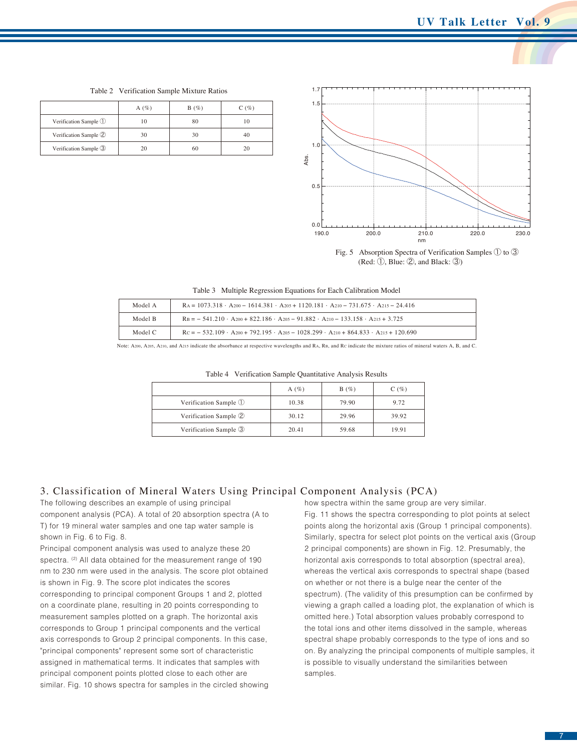190.0 0.0  $0.5$ 1.0 1.7 1.5 200.0 210.0 nm 220.0 230.0 Abs.

Table 2 Verification Sample Mixture Ratios

|                       | A $(\%)$ | B(%) | C(%) |
|-----------------------|----------|------|------|
| Verification Sample ① | 10       | 80   |      |
| Verification Sample 2 | 30       | 30   |      |
| Verification Sample 3 | 20       | 60   | 20   |

Fig. 5 Absorption Spectra of Verification Samples ① to ③ (Red: ①, Blue: ②, and Black: ③)

| Model A | $R_A = 1073.318 \cdot A_{200} - 1614.381 \cdot A_{205} + 1120.181 \cdot A_{210} - 731.675 \cdot A_{215} - 24.416$ |
|---------|-------------------------------------------------------------------------------------------------------------------|
| Model B | $R_B = -541.210 \cdot A_{200} + 822.186 \cdot A_{205} - 91.882 \cdot A_{210} - 133.158 \cdot A_{215} + 3.725$     |
| Model C | $Rc = -532.109 \cdot A_{200} + 792.195 \cdot A_{205} - 1028.299 \cdot A_{210} + 864.833 \cdot A_{215} + 120.690$  |

Note: A200, A205, A210, and A215 indicate the absorbance at respective wavelengths and RA, RB, and RC indicate the mixture ratios of mineral waters A, B, and C.

|                       | A $(\%)$ | B(%)  | C(%)  |
|-----------------------|----------|-------|-------|
| Verification Sample 1 | 10.38    | 79.90 | 9.72  |
| Verification Sample 2 | 30.12    | 29.96 | 39.92 |
| Verification Sample 3 | 20.41    | 59.68 | 19.91 |

Table 4 Verification Sample Quantitative Analysis Results

# 3. Classification of Mineral Waters Using Principal Component Analysis (PCA)

The following describes an example of using principal component analysis (PCA). A total of 20 absorption spectra (A to T) for 19 mineral water samples and one tap water sample is shown in Fig. 6 to Fig. 8.

Principal component analysis was used to analyze these 20 spectra. <sup>(2)</sup> All data obtained for the measurement range of 190 nm to 230 nm were used in the analysis. The score plot obtained is shown in Fig. 9. The score plot indicates the scores corresponding to principal component Groups 1 and 2, plotted on a coordinate plane, resulting in 20 points corresponding to measurement samples plotted on a graph. The horizontal axis corresponds to Group 1 principal components and the vertical axis corresponds to Group 2 principal components. In this case, "principal components" represent some sort of characteristic assigned in mathematical terms. It indicates that samples with principal component points plotted close to each other are similar. Fig. 10 shows spectra for samples in the circled showing how spectra within the same group are very similar.

Fig. 11 shows the spectra corresponding to plot points at select points along the horizontal axis (Group 1 principal components). Similarly, spectra for select plot points on the vertical axis (Group 2 principal components) are shown in Fig. 12. Presumably, the horizontal axis corresponds to total absorption (spectral area), whereas the vertical axis corresponds to spectral shape (based on whether or not there is a bulge near the center of the spectrum). (The validity of this presumption can be confirmed by viewing a graph called a loading plot, the explanation of which is omitted here.) Total absorption values probably correspond to the total ions and other items dissolved in the sample, whereas spectral shape probably corresponds to the type of ions and so on. By analyzing the principal components of multiple samples, it is possible to visually understand the similarities between samples.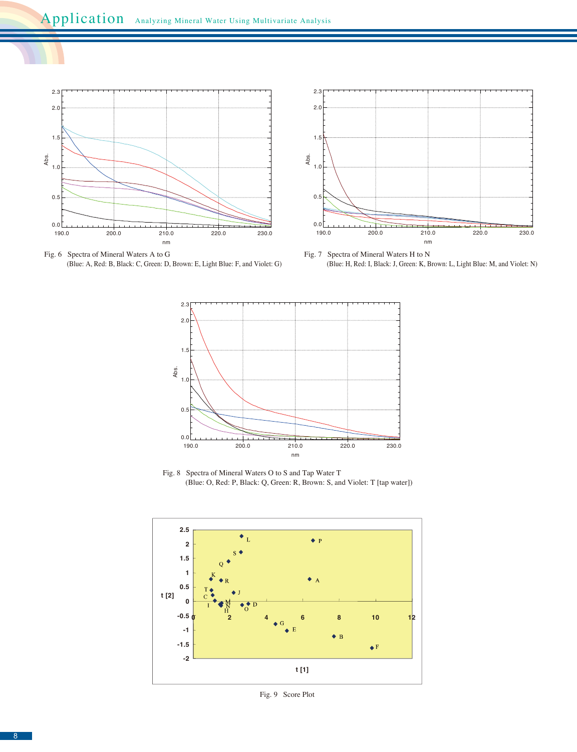

Fig. 6 Spectra of Mineral Waters A to G (Blue: A, Red: B, Black: C, Green: D, Brown: E, Light Blue: F, and Violet: G)



Fig. 7 Spectra of Mineral Waters H to N (Blue: H, Red: I, Black: J, Green: K, Brown: L, Light Blue: M, and Violet: N)



Fig. 8 Spectra of Mineral Waters O to S and Tap Water T (Blue: O, Red: P, Black: Q, Green: R, Brown: S, and Violet: T [tap water])



Fig. 9 Score Plot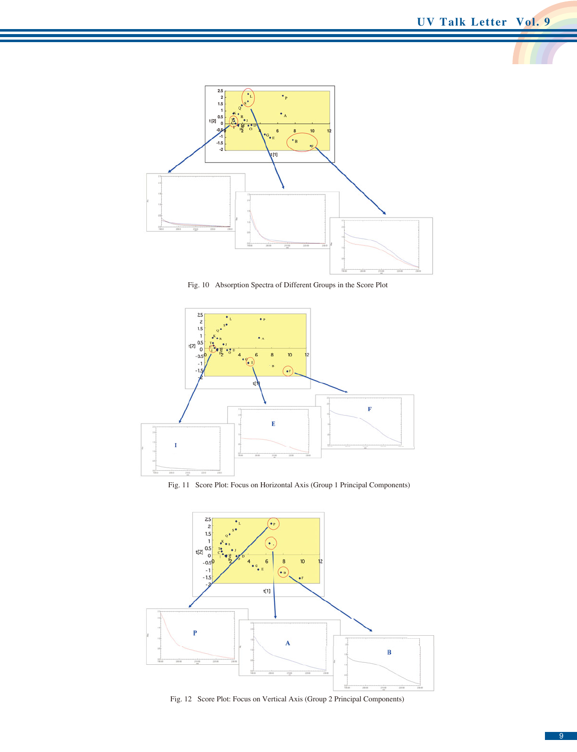

Fig. 10 Absorption Spectra of Different Groups in the Score Plot



Fig. 11 Score Plot: Focus on Horizontal Axis (Group 1 Principal Components)



Fig. 12 Score Plot: Focus on Vertical Axis (Group 2 Principal Components)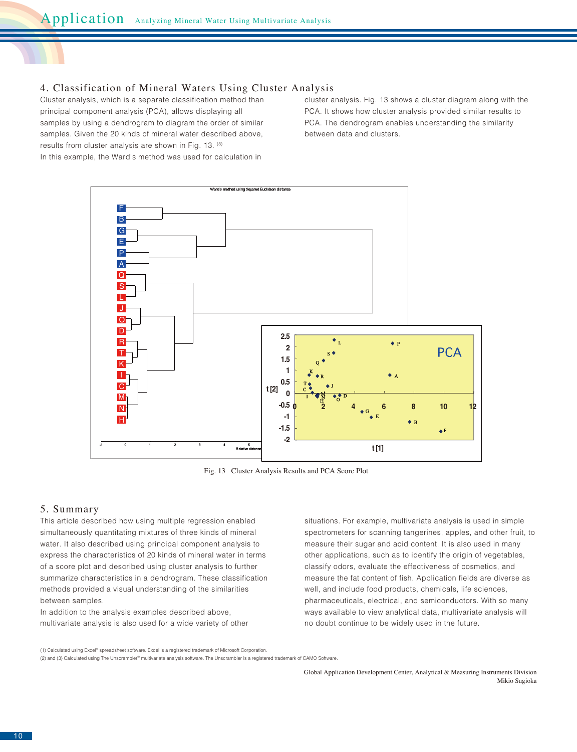# 4. Classification of Mineral Waters Using Cluster Analysis

Cluster analysis, which is a separate classification method than principal component analysis (PCA), allows displaying all samples by using a dendrogram to diagram the order of similar samples. Given the 20 kinds of mineral water described above, results from cluster analysis are shown in Fig. 13. (3) In this example, the Ward's method was used for calculation in

cluster analysis. Fig. 13 shows a cluster diagram along with the PCA. It shows how cluster analysis provided similar results to PCA. The dendrogram enables understanding the similarity between data and clusters.



Fig. 13 Cluster Analysis Results and PCA Score Plot

# 5. Summary

This article described how using multiple regression enabled simultaneously quantitating mixtures of three kinds of mineral water. It also described using principal component analysis to express the characteristics of 20 kinds of mineral water in terms of a score plot and described using cluster analysis to further summarize characteristics in a dendrogram. These classification methods provided a visual understanding of the similarities between samples.

In addition to the analysis examples described above, multivariate analysis is also used for a wide variety of other situations. For example, multivariate analysis is used in simple spectrometers for scanning tangerines, apples, and other fruit, to measure their sugar and acid content. It is also used in many other applications, such as to identify the origin of vegetables, classify odors, evaluate the effectiveness of cosmetics, and measure the fat content of fish. Application fields are diverse as well, and include food products, chemicals, life sciences, pharmaceuticals, electrical, and semiconductors. With so many ways available to view analytical data, multivariate analysis will no doubt continue to be widely used in the future.

(1) Calculated using Excel® spreadsheet software. Excel is a registered trademark of Microsoft Corporation.

(2) and (3) Calculated using The Unscrambler® multivariate analysis software. The Unscrambler is a registered trademark of CAMO Software.

Global Application Development Center, Analytical & Measuring Instruments Division Mikio Sugioka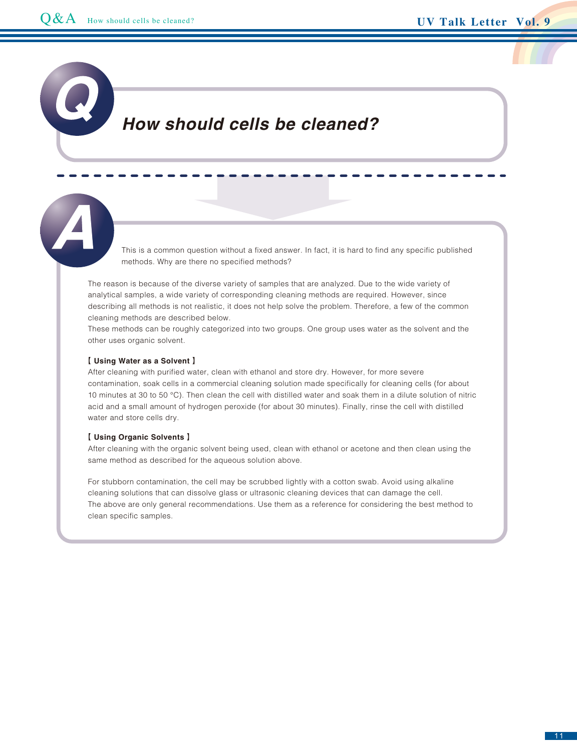# *How should cells be cleaned?*

This is a common question without a fixed answer. In fact, it is hard to find any specific published methods. Why are there no specified methods?

The reason is because of the diverse variety of samples that are analyzed. Due to the wide variety of analytical samples, a wide variety of corresponding cleaning methods are required. However, since describing all methods is not realistic, it does not help solve the problem. Therefore, a few of the common cleaning methods are described below.

These methods can be roughly categorized into two groups. One group uses water as the solvent and the other uses organic solvent.

## 【 **Using Water as a Solvent** 】

After cleaning with purified water, clean with ethanol and store dry. However, for more severe contamination, soak cells in a commercial cleaning solution made specifically for cleaning cells (for about 10 minutes at 30 to 50 °C). Then clean the cell with distilled water and soak them in a dilute solution of nitric acid and a small amount of hydrogen peroxide (for about 30 minutes). Finally, rinse the cell with distilled water and store cells dry.

## 【 **Using Organic Solvents** 】

After cleaning with the organic solvent being used, clean with ethanol or acetone and then clean using the same method as described for the aqueous solution above.

For stubborn contamination, the cell may be scrubbed lightly with a cotton swab. Avoid using alkaline cleaning solutions that can dissolve glass or ultrasonic cleaning devices that can damage the cell. The above are only general recommendations. Use them as a reference for considering the best method to clean specific samples.